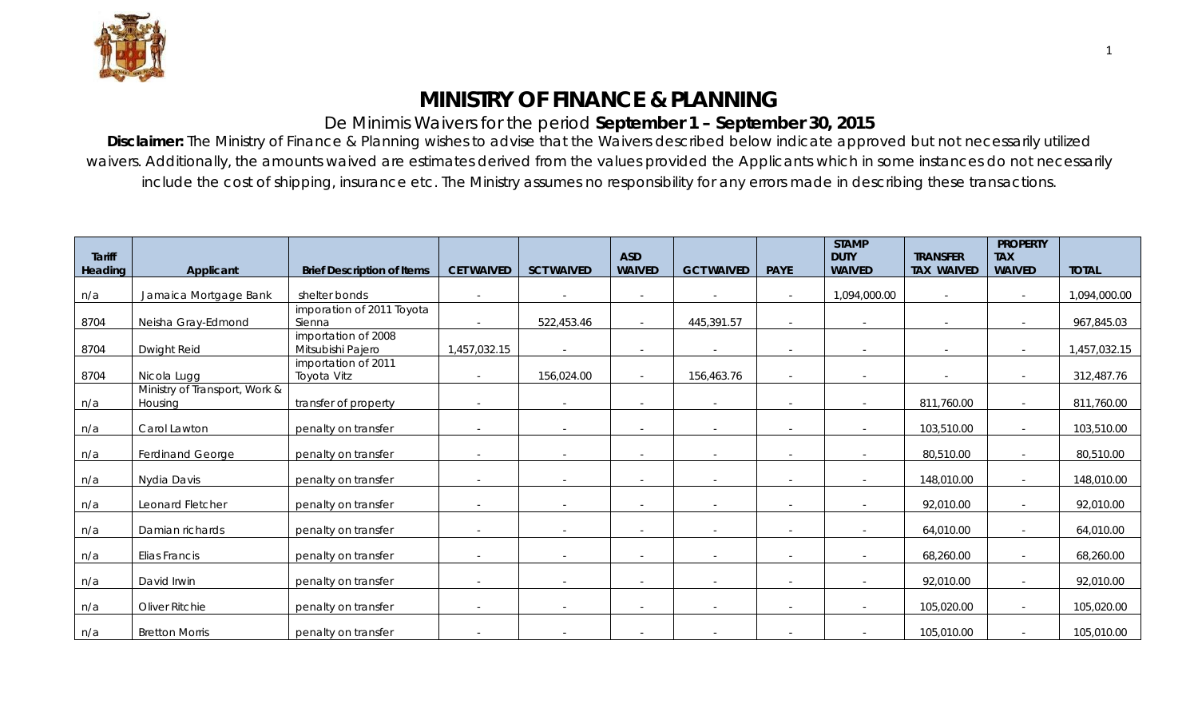

## **MINISTRY OF FINANCE & PLANNING**

## De Minimis Waivers for the period **September 1 – September 30, 2015**

**Disclaimer:** The Ministry of Finance & Planning wishes to advise that the Waivers described below indicate approved but not necessarily utilized waivers. Additionally, the amounts waived are estimates derived from the values provided the Applicants which in some instances do not necessarily include the cost of shipping, insurance etc. The Ministry assumes no responsibility for any errors made in describing these transactions.

| <b>Tariff</b> |                                          |                                          |                   |                   | <b>ASD</b>               |                   |             | <b>STAMP</b><br><b>DUTY</b> | <b>TRANSFER</b>   | <b>PROPERTY</b><br><b>TAX</b> |              |
|---------------|------------------------------------------|------------------------------------------|-------------------|-------------------|--------------------------|-------------------|-------------|-----------------------------|-------------------|-------------------------------|--------------|
| Heading       | Applicant                                | <b>Brief Description of Items</b>        | <b>CET WAIVED</b> | <b>SCT WAIVED</b> | <b>WAIVED</b>            | <b>GCT WAIVED</b> | <b>PAYE</b> | <b>WAIVED</b>               | <b>TAX WAIVED</b> | <b>WAIVED</b>                 | <b>TOTAL</b> |
| n/a           | Jamaica Mortgage Bank                    | shelter bonds                            | $\sim$            |                   | $\sim$                   |                   | $\sim$      | 1,094,000.00                | $\sim$            | $\sim$                        | 1,094,000.00 |
| 8704          | Neisha Gray-Edmond                       | imporation of 2011 Toyota<br>Sienna      | $\sim$            | 522,453.46        | $\sim$                   | 445,391.57        | $\sim$      | $\sim$                      |                   | $\sim$                        | 967,845.03   |
| 8704          | Dwight Reid                              | importation of 2008<br>Mitsubishi Pajero | 1,457,032.15      | $\sim$            | $\sim$                   |                   |             |                             |                   | $\sim$                        | 1,457,032.15 |
| 8704          | Nicola Lugg                              | importation of 2011<br>Toyota Vitz       | $\sim$            | 156,024.00        | $\sim$                   | 156,463.76        |             |                             |                   | $\sim$                        | 312,487.76   |
| n/a           | Ministry of Transport, Work &<br>Housing | transfer of property                     | $\sim$            |                   | $\sim$                   |                   |             |                             | 811,760.00        | $\sim$                        | 811,760.00   |
| n/a           | Carol Lawton                             | penalty on transfer                      | $\sim$            | $\sim$            | $\sim$                   |                   | $\sim$      | $\sim$                      | 103,510.00        | $\sim$                        | 103,510.00   |
| n/a           | Ferdinand George                         | penalty on transfer                      | $\sim$            | $\sim$            | $\sim$                   |                   | $\sim$      |                             | 80,510.00         | $\sim$                        | 80,510.00    |
| n/a           | Nydia Davis                              | penalty on transfer                      |                   |                   | $\sim$                   |                   |             |                             | 148,010.00        | $\sim$                        | 148,010.00   |
| n/a           | Leonard Fletcher                         | penalty on transfer                      | $\sim$            | $\sim$            | $\overline{\phantom{0}}$ |                   | $\sim$      | $\sim$                      | 92,010.00         | $\sim$                        | 92,010.00    |
| n/a           | Damian richards                          | penalty on transfer                      | $\sim$            | $\sim$            | $\sim$                   |                   |             |                             | 64,010.00         | $\sim$                        | 64,010.00    |
| n/a           | Elias Francis                            | penalty on transfer                      | $\sim$            |                   | $\sim$                   |                   | $\sim$      |                             | 68,260.00         | $\sim$                        | 68,260.00    |
| n/a           | David Irwin                              | penalty on transfer                      | $\sim$            |                   | -                        |                   |             |                             | 92,010.00         | $\sim$                        | 92,010.00    |
| n/a           | Oliver Ritchie                           | penalty on transfer                      | $\sim$            | $\sim$            | $\sim$                   | $\sim$            | $\sim$      | $\sim$                      | 105,020.00        | $\sim$                        | 105,020.00   |
| n/a           | <b>Bretton Morris</b>                    | penalty on transfer                      |                   |                   |                          |                   |             |                             | 105,010.00        | $\sim$                        | 105,010.00   |